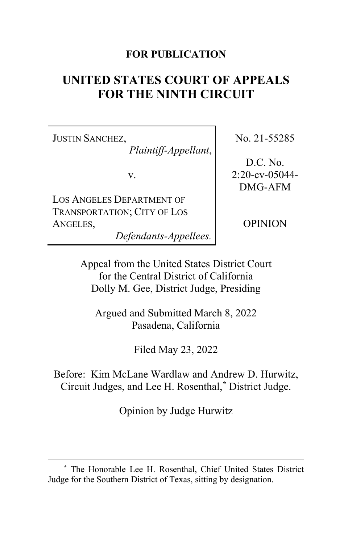# **FOR PUBLICATION**

# **UNITED STATES COURT OF APPEALS FOR THE NINTH CIRCUIT**

JUSTIN SANCHEZ, *Plaintiff-Appellant*,

v.

LOS ANGELES DEPARTMENT OF TRANSPORTATION; CITY OF LOS ANGELES,

*Defendants-Appellees.*

No. 21-55285

D.C. No. 2:20-cv-05044- DMG-AFM

OPINION

Appeal from the United States District Court for the Central District of California Dolly M. Gee, District Judge, Presiding

Argued and Submitted March 8, 2022 Pasadena, California

Filed May 23, 2022

Before: Kim McLane Wardlaw and Andrew D. Hurwitz, Circuit Judges, and Lee H. Rosenthal,**[\\*](#page-0-0)** District Judge.

Opinion by Judge Hurwitz

<span id="page-0-0"></span>**<sup>\*</sup>** The Honorable Lee H. Rosenthal, Chief United States District Judge for the Southern District of Texas, sitting by designation.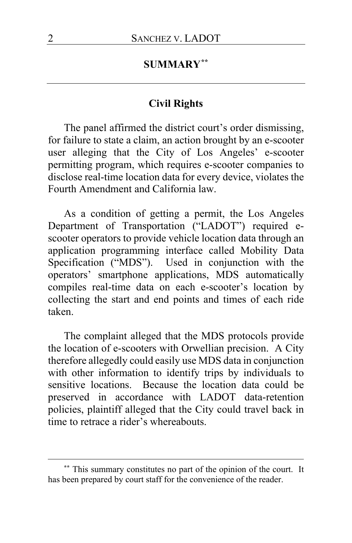# **SUMMARY[\\*\\*](#page-1-0)**

# **Civil Rights**

The panel affirmed the district court's order dismissing, for failure to state a claim, an action brought by an e-scooter user alleging that the City of Los Angeles' e-scooter permitting program, which requires e-scooter companies to disclose real-time location data for every device, violates the Fourth Amendment and California law.

As a condition of getting a permit, the Los Angeles Department of Transportation ("LADOT") required escooter operators to provide vehicle location data through an application programming interface called Mobility Data Specification ("MDS"). Used in conjunction with the operators' smartphone applications, MDS automatically compiles real-time data on each e-scooter's location by collecting the start and end points and times of each ride taken.

The complaint alleged that the MDS protocols provide the location of e-scooters with Orwellian precision. A City therefore allegedly could easily use MDS data in conjunction with other information to identify trips by individuals to sensitive locations. Because the location data could be preserved in accordance with LADOT data-retention policies, plaintiff alleged that the City could travel back in time to retrace a rider's whereabouts.

<span id="page-1-0"></span>**<sup>\*\*</sup>** This summary constitutes no part of the opinion of the court. It has been prepared by court staff for the convenience of the reader.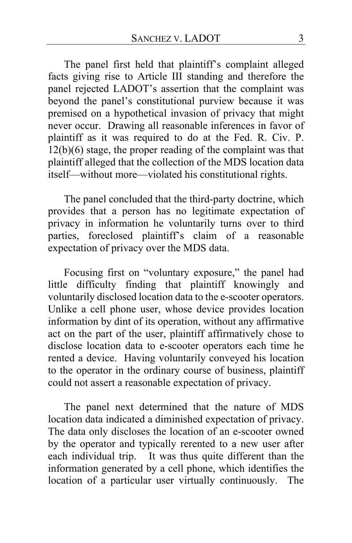The panel first held that plaintiff's complaint alleged facts giving rise to Article III standing and therefore the panel rejected LADOT's assertion that the complaint was beyond the panel's constitutional purview because it was premised on a hypothetical invasion of privacy that might never occur. Drawing all reasonable inferences in favor of plaintiff as it was required to do at the Fed. R. Civ. P. 12(b)(6) stage, the proper reading of the complaint was that plaintiff alleged that the collection of the MDS location data itself—without more—violated his constitutional rights.

The panel concluded that the third-party doctrine, which provides that a person has no legitimate expectation of privacy in information he voluntarily turns over to third parties, foreclosed plaintiff's claim of a reasonable expectation of privacy over the MDS data.

Focusing first on "voluntary exposure," the panel had little difficulty finding that plaintiff knowingly and voluntarily disclosed location data to the e-scooter operators. Unlike a cell phone user, whose device provides location information by dint of its operation, without any affirmative act on the part of the user, plaintiff affirmatively chose to disclose location data to e-scooter operators each time he rented a device. Having voluntarily conveyed his location to the operator in the ordinary course of business, plaintiff could not assert a reasonable expectation of privacy.

The panel next determined that the nature of MDS location data indicated a diminished expectation of privacy. The data only discloses the location of an e-scooter owned by the operator and typically rerented to a new user after each individual trip. It was thus quite different than the information generated by a cell phone, which identifies the location of a particular user virtually continuously. The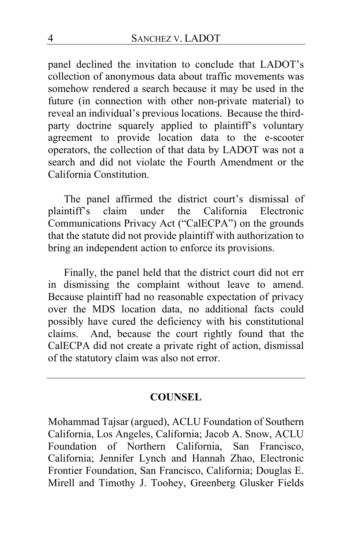panel declined the invitation to conclude that LADOT's collection of anonymous data about traffic movements was somehow rendered a search because it may be used in the future (in connection with other non-private material) to reveal an individual's previous locations. Because the thirdparty doctrine squarely applied to plaintiff's voluntary agreement to provide location data to the e-scooter operators, the collection of that data by LADOT was not a search and did not violate the Fourth Amendment or the California Constitution.

The panel affirmed the district court's dismissal of plaintiff's claim under the California Electronic Communications Privacy Act ("CalECPA") on the grounds that the statute did not provide plaintiff with authorization to bring an independent action to enforce its provisions.

Finally, the panel held that the district court did not err in dismissing the complaint without leave to amend. Because plaintiff had no reasonable expectation of privacy over the MDS location data, no additional facts could possibly have cured the deficiency with his constitutional claims. And, because the court rightly found that the CalECPA did not create a private right of action, dismissal of the statutory claim was also not error.

## **COUNSEL**

Mohammad Tajsar (argued), ACLU Foundation of Southern California, Los Angeles, California; Jacob A. Snow, ACLU Foundation of Northern California, San Francisco, California; Jennifer Lynch and Hannah Zhao, Electronic Frontier Foundation, San Francisco, California; Douglas E. Mirell and Timothy J. Toohey, Greenberg Glusker Fields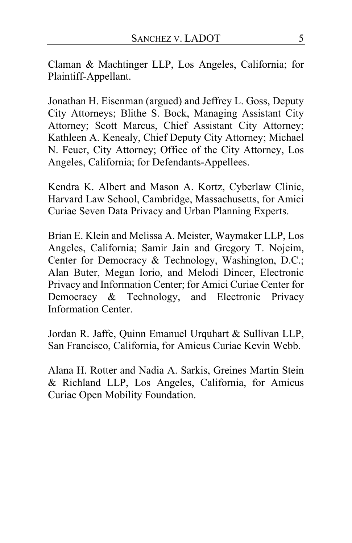Claman & Machtinger LLP, Los Angeles, California; for Plaintiff-Appellant.

Jonathan H. Eisenman (argued) and Jeffrey L. Goss, Deputy City Attorneys; Blithe S. Bock, Managing Assistant City Attorney; Scott Marcus, Chief Assistant City Attorney; Kathleen A. Kenealy, Chief Deputy City Attorney; Michael N. Feuer, City Attorney; Office of the City Attorney, Los Angeles, California; for Defendants-Appellees.

Kendra K. Albert and Mason A. Kortz, Cyberlaw Clinic, Harvard Law School, Cambridge, Massachusetts, for Amici Curiae Seven Data Privacy and Urban Planning Experts.

Brian E. Klein and Melissa A. Meister, Waymaker LLP, Los Angeles, California; Samir Jain and Gregory T. Nojeim, Center for Democracy & Technology, Washington, D.C.; Alan Buter, Megan Iorio, and Melodi Dincer, Electronic Privacy and Information Center; for Amici Curiae Center for Democracy & Technology, and Electronic Privacy Information Center.

Jordan R. Jaffe, Quinn Emanuel Urquhart & Sullivan LLP, San Francisco, California, for Amicus Curiae Kevin Webb.

Alana H. Rotter and Nadia A. Sarkis, Greines Martin Stein & Richland LLP, Los Angeles, California, for Amicus Curiae Open Mobility Foundation.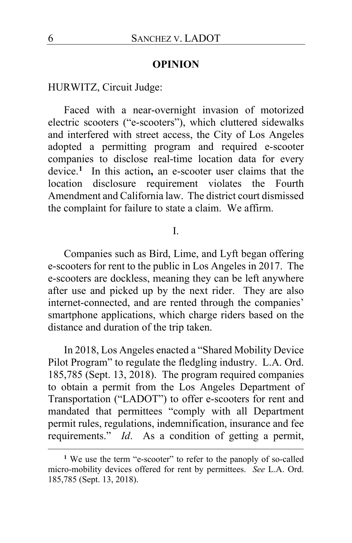## **OPINION**

# HURWITZ, Circuit Judge:

Faced with a near-overnight invasion of motorized electric scooters ("e-scooters"), which cluttered sidewalks and interfered with street access, the City of Los Angeles adopted a permitting program and required e-scooter companies to disclose real-time location data for every device.**[1](#page-5-0)** In this action**,** an e-scooter user claims that the location disclosure requirement violates the Fourth Amendment and California law. The district court dismissed the complaint for failure to state a claim. We affirm.

#### I.

Companies such as Bird, Lime, and Lyft began offering e-scooters for rent to the public in Los Angeles in 2017. The e-scooters are dockless, meaning they can be left anywhere after use and picked up by the next rider. They are also internet-connected, and are rented through the companies' smartphone applications, which charge riders based on the distance and duration of the trip taken.

In 2018, Los Angeles enacted a "Shared Mobility Device Pilot Program" to regulate the fledgling industry. L.A. Ord. 185,785 (Sept. 13, 2018).The program required companies to obtain a permit from the Los Angeles Department of Transportation ("LADOT") to offer e-scooters for rent and mandated that permittees "comply with all Department permit rules, regulations, indemnification, insurance and fee requirements." *Id*.As a condition of getting a permit,

<span id="page-5-0"></span><sup>&</sup>lt;sup>1</sup> We use the term "e-scooter" to refer to the panoply of so-called micro-mobility devices offered for rent by permittees. *See* L.A. Ord. 185,785 (Sept. 13, 2018).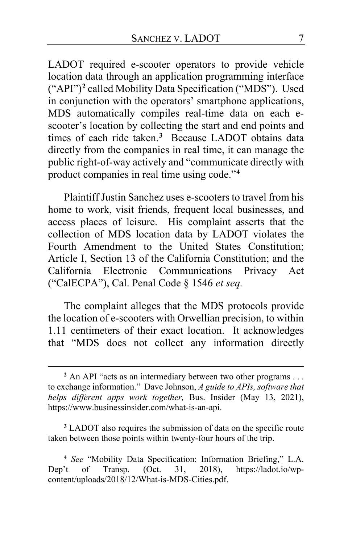LADOT required e-scooter operators to provide vehicle location data through an application programming interface ("API")**[2](#page-6-0)** called Mobility Data Specification ("MDS"). Used in conjunction with the operators' smartphone applications, MDS automatically compiles real-time data on each escooter's location by collecting the start and end points and times of each ride taken.**[3](#page-6-1)** Because LADOT obtains data directly from the companies in real time, it can manage the public right-of-way actively and "communicate directly with product companies in real time using code."**[4](#page-6-2)**

Plaintiff Justin Sanchez uses e-scooters to travel from his home to work, visit friends, frequent local businesses, and access places of leisure.His complaint asserts that the collection of MDS location data by LADOT violates the Fourth Amendment to the United States Constitution; Article I, Section 13 of the California Constitution; and the California Electronic Communications Privacy Act ("CalECPA"), Cal. Penal Code § 1546 *et seq.*

The complaint alleges that the MDS protocols provide the location of e-scooters with Orwellian precision, to within 1.11 centimeters of their exact location. It acknowledges that "MDS does not collect any information directly

<span id="page-6-1"></span>**<sup>3</sup>** LADOT also requires the submission of data on the specific route taken between those points within twenty-four hours of the trip.

<span id="page-6-2"></span>**<sup>4</sup>** *See* "Mobility Data Specification: Information Briefing," L.A. Dep't of Transp. (Oct. 31, 2018), https://ladot.io/wpcontent/uploads/2018/12/What-is-MDS-Cities.pdf.

<span id="page-6-0"></span>**<sup>2</sup>** An API "acts as an intermediary between two other programs . . . to exchange information." Dave Johnson, *A guide to APIs, software that helps different apps work together,* Bus. Insider (May 13, 2021), https://www.businessinsider.com/what-is-an-api.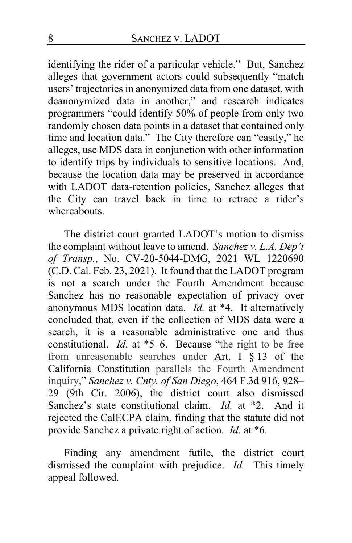identifying the rider of a particular vehicle." But, Sanchez alleges that government actors could subsequently "match users' trajectories in anonymized data from one dataset, with deanonymized data in another," and research indicates programmers "could identify 50% of people from only two randomly chosen data points in a dataset that contained only time and location data." The City therefore can "easily," he alleges, use MDS data in conjunction with other information to identify trips by individuals to sensitive locations. And, because the location data may be preserved in accordance with LADOT data-retention policies, Sanchez alleges that the City can travel back in time to retrace a rider's whereabouts.

The district court granted LADOT's motion to dismiss the complaint without leave to amend. *Sanchez v. L.A. Dep't of Transp.*, No. CV-20-5044-DMG, 2021 WL 1220690 (C.D. Cal. Feb. 23, 2021).It found that the LADOT program is not a search under the Fourth Amendment because Sanchez has no reasonable expectation of privacy over anonymous MDS location data. *Id.* at \*4.It alternatively concluded that, even if the collection of MDS data were a search, it is a reasonable administrative one and thus constitutional. *Id*. at \*5–6.Because "the right to be free from unreasonable searches under Art. I  $\S$  13 of the California Constitution parallels the Fourth Amendment inquiry," *Sanchez v. Cnty. of San Diego*, 464 F.3d 916, 928– 29 (9th Cir. 2006), the district court also dismissed Sanchez's state constitutional claim. *Id.* at \*2. And it rejected the CalECPA claim, finding that the statute did not provide Sanchez a private right of action. *Id*. at \*6.

Finding any amendment futile, the district court dismissed the complaint with prejudice. *Id.*This timely appeal followed.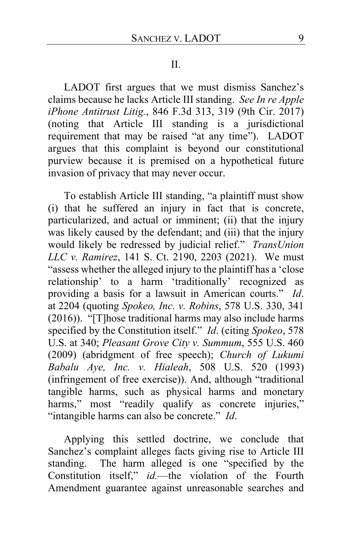#### II.

LADOT first argues that we must dismiss Sanchez's claims because he lacks Article III standing. *See In re Apple iPhone Antitrust Litig.*, 846 F.3d 313, 319 (9th Cir. 2017) (noting that Article III standing is a jurisdictional requirement that may be raised "at any time"). LADOT argues that this complaint is beyond our constitutional purview because it is premised on a hypothetical future invasion of privacy that may never occur.

To establish Article III standing, "a plaintiff must show (i) that he suffered an injury in fact that is concrete, particularized, and actual or imminent; (ii) that the injury was likely caused by the defendant; and (iii) that the injury would likely be redressed by judicial relief." *TransUnion LLC v. Ramirez*, 141 S. Ct. 2190, 2203 (2021). We must "assess whether the alleged injury to the plaintiff has a 'close relationship' to a harm 'traditionally' recognized as providing a basis for a lawsuit in American courts." *Id*. at 2204 (quoting *Spokeo, Inc. v. Robins*, 578 U.S. 330, 341 (2016)). "[T]hose traditional harms may also include harms specified by the Constitution itself." *Id*. (citing *Spokeo*, 578 U.S. at 340; *Pleasant Grove City v. Summum*, 555 U.S. 460 (2009) (abridgment of free speech); *Church of Lukumi Babalu Aye, Inc. v. Hialeah*, 508 U.S. 520 (1993) (infringement of free exercise)). And, although "traditional tangible harms, such as physical harms and monetary harms," most "readily qualify as concrete injuries," "intangible harms can also be concrete." *Id*.

Applying this settled doctrine, we conclude that Sanchez's complaint alleges facts giving rise to Article III standing. The harm alleged is one "specified by the Constitution itself," *id.*—the violation of the Fourth Amendment guarantee against unreasonable searches and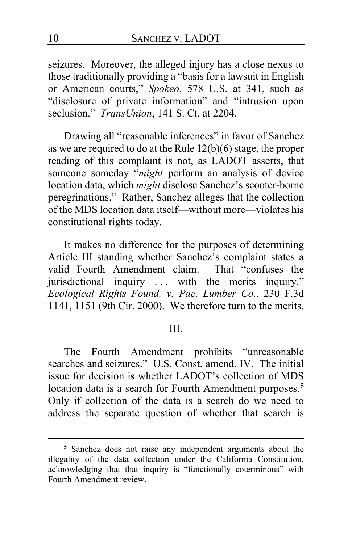seizures. Moreover, the alleged injury has a close nexus to those traditionally providing a "basis for a lawsuit in English or American courts," *Spokeo*, 578 U.S. at 341, such as "disclosure of private information" and "intrusion upon seclusion." *TransUnion*, 141 S. Ct. at 2204.

Drawing all "reasonable inferences" in favor of Sanchez as we are required to do at the Rule 12(b)(6) stage, the proper reading of this complaint is not, as LADOT asserts, that someone someday "*might* perform an analysis of device location data, which *might* disclose Sanchez's scooter-borne peregrinations." Rather, Sanchez alleges that the collection of the MDS location data itself—without more—violates his constitutional rights today.

It makes no difference for the purposes of determining Article III standing whether Sanchez's complaint states a valid Fourth Amendment claim. That "confuses the jurisdictional inquiry . . . with the merits inquiry." *Ecological Rights Found. v. Pac. Lumber Co.*, 230 F.3d 1141, 1151 (9th Cir. 2000). We therefore turn to the merits.

## III.

The Fourth Amendment prohibits "unreasonable searches and seizures." U.S. Const. amend. IV. The initial issue for decision is whether LADOT's collection of MDS location data is a search for Fourth Amendment purposes.**[5](#page-9-0)** Only if collection of the data is a search do we need to address the separate question of whether that search is

<span id="page-9-0"></span>**<sup>5</sup>** Sanchez does not raise any independent arguments about the illegality of the data collection under the California Constitution, acknowledging that that inquiry is "functionally coterminous" with Fourth Amendment review.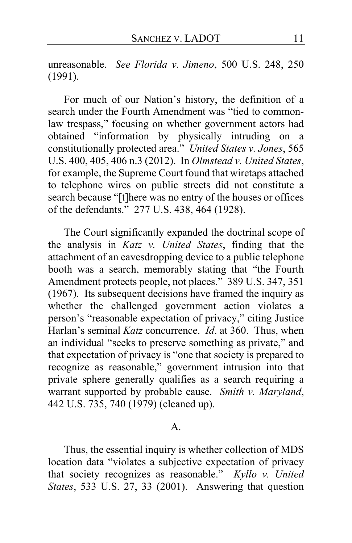unreasonable. *See Florida v. Jimeno*, 500 U.S. 248, 250 (1991).

For much of our Nation's history, the definition of a search under the Fourth Amendment was "tied to commonlaw trespass," focusing on whether government actors had obtained "information by physically intruding on a constitutionally protected area." *United States v. Jones*, 565 U.S. 400, 405, 406 n.3 (2012). In *Olmstead v. United States*, for example, the Supreme Court found that wiretaps attached to telephone wires on public streets did not constitute a search because "[t]here was no entry of the houses or offices of the defendants." 277 U.S. 438, 464 (1928).

The Court significantly expanded the doctrinal scope of the analysis in *Katz v. United States*, finding that the attachment of an eavesdropping device to a public telephone booth was a search, memorably stating that "the Fourth Amendment protects people, not places." 389 U.S. 347, 351 (1967). Its subsequent decisions have framed the inquiry as whether the challenged government action violates a person's "reasonable expectation of privacy," citing Justice Harlan's seminal *Katz* concurrence. *Id*. at 360. Thus, when an individual "seeks to preserve something as private," and that expectation of privacy is "one that society is prepared to recognize as reasonable," government intrusion into that private sphere generally qualifies as a search requiring a warrant supported by probable cause. *Smith v. Maryland*, 442 U.S. 735, 740 (1979) (cleaned up).

#### $\mathbf{A}$ .

Thus, the essential inquiry is whether collection of MDS location data "violates a subjective expectation of privacy that society recognizes as reasonable." *Kyllo v. United States*, 533 U.S. 27, 33 (2001). Answering that question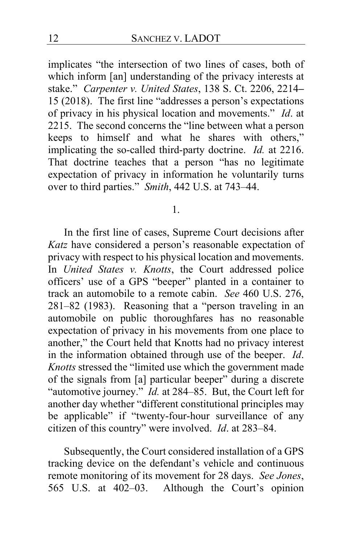implicates "the intersection of two lines of cases, both of which inform [an] understanding of the privacy interests at stake." *Carpenter v. United States*, 138 S. Ct. 2206, 2214**–** 15 (2018). The first line "addresses a person's expectations of privacy in his physical location and movements." *Id*. at 2215. The second concerns the "line between what a person keeps to himself and what he shares with others," implicating the so-called third-party doctrine. *Id.* at 2216. That doctrine teaches that a person "has no legitimate expectation of privacy in information he voluntarily turns over to third parties." *Smith*, 442 U.S. at 743–44.

1.

In the first line of cases, Supreme Court decisions after *Katz* have considered a person's reasonable expectation of privacy with respect to his physical location and movements. In *United States v. Knotts*, the Court addressed police officers' use of a GPS "beeper" planted in a container to track an automobile to a remote cabin. *See* 460 U.S. 276, 281–82 (1983). Reasoning that a "person traveling in an automobile on public thoroughfares has no reasonable expectation of privacy in his movements from one place to another," the Court held that Knotts had no privacy interest in the information obtained through use of the beeper. *Id*. *Knotts* stressed the "limited use which the government made of the signals from [a] particular beeper" during a discrete "automotive journey." *Id.* at 284–85. But, the Court left for another day whether "different constitutional principles may be applicable" if "twenty-four-hour surveillance of any citizen of this country" were involved. *Id*. at 283–84.

Subsequently, the Court considered installation of a GPS tracking device on the defendant's vehicle and continuous remote monitoring of its movement for 28 days. *See Jones*, 565 U.S. at 402–03. Although the Court's opinion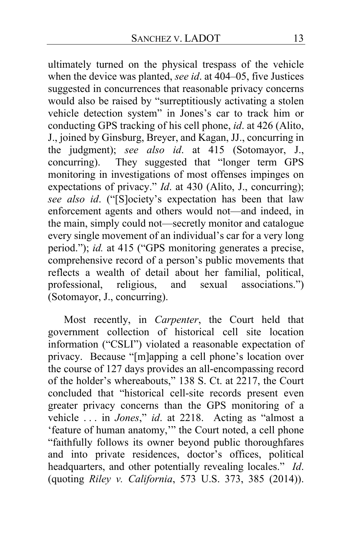ultimately turned on the physical trespass of the vehicle when the device was planted, *see id*. at 404–05, five Justices suggested in concurrences that reasonable privacy concerns would also be raised by "surreptitiously activating a stolen vehicle detection system" in Jones's car to track him or conducting GPS tracking of his cell phone, *id*. at 426 (Alito, J., joined by Ginsburg, Breyer, and Kagan, JJ., concurring in the judgment); *see also id*. at 415 (Sotomayor, J., concurring). They suggested that "longer term GPS They suggested that "longer term GPS monitoring in investigations of most offenses impinges on expectations of privacy." *Id.* at 430 (Alito, J., concurring); *see also id*. ("[S]ociety's expectation has been that law enforcement agents and others would not—and indeed, in the main, simply could not—secretly monitor and catalogue every single movement of an individual's car for a very long period."); *id.* at 415 ("GPS monitoring generates a precise, comprehensive record of a person's public movements that reflects a wealth of detail about her familial, political, professional, religious, and sexual associations.") (Sotomayor, J., concurring).

Most recently, in *Carpenter*, the Court held that government collection of historical cell site location information ("CSLI") violated a reasonable expectation of privacy. Because "[m]apping a cell phone's location over the course of 127 days provides an all-encompassing record of the holder's whereabouts," 138 S. Ct. at 2217, the Court concluded that "historical cell-site records present even greater privacy concerns than the GPS monitoring of a vehicle . . . in *Jones*," *id*. at 2218. Acting as "almost a 'feature of human anatomy,'" the Court noted, a cell phone "faithfully follows its owner beyond public thoroughfares and into private residences, doctor's offices, political headquarters, and other potentially revealing locales." *Id*. (quoting *Riley v. California*, 573 U.S. 373, 385 (2014)).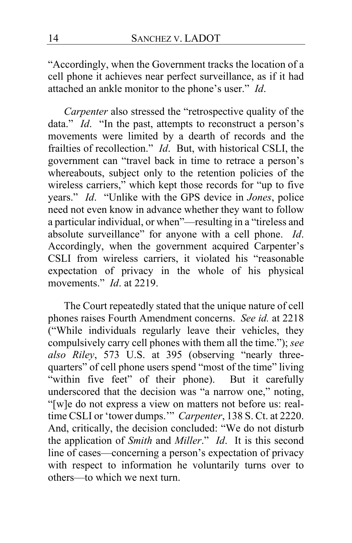"Accordingly, when the Government tracks the location of a cell phone it achieves near perfect surveillance, as if it had attached an ankle monitor to the phone's user." *Id*.

*Carpenter* also stressed the "retrospective quality of the data." *Id*. "In the past, attempts to reconstruct a person's movements were limited by a dearth of records and the frailties of recollection." *Id*. But, with historical CSLI, the government can "travel back in time to retrace a person's whereabouts, subject only to the retention policies of the wireless carriers," which kept those records for "up to five years." *Id*. "Unlike with the GPS device in *Jones*, police need not even know in advance whether they want to follow a particular individual, or when"—resulting in a "tireless and absolute surveillance" for anyone with a cell phone. *Id*. Accordingly, when the government acquired Carpenter's CSLI from wireless carriers, it violated his "reasonable expectation of privacy in the whole of his physical movements." *Id*. at 2219.

The Court repeatedly stated that the unique nature of cell phones raises Fourth Amendment concerns. *See id.* at 2218 ("While individuals regularly leave their vehicles, they compulsively carry cell phones with them all the time."); *see also Riley*, 573 U.S. at 395 (observing "nearly threequarters" of cell phone users spend "most of the time" living "within five feet" of their phone). But it carefully underscored that the decision was "a narrow one," noting, "[w]e do not express a view on matters not before us: realtime CSLI or 'tower dumps.'" *Carpenter*, 138 S. Ct. at 2220. And, critically, the decision concluded: "We do not disturb the application of *Smith* and *Miller*." *Id*. It is this second line of cases—concerning a person's expectation of privacy with respect to information he voluntarily turns over to others—to which we next turn.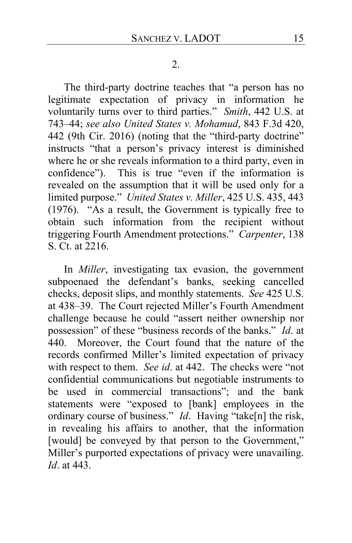The third-party doctrine teaches that "a person has no legitimate expectation of privacy in information he voluntarily turns over to third parties." *Smith*, 442 U.S. at 743–44; *see also United States v. Mohamud*, 843 F.3d 420, 442 (9th Cir. 2016) (noting that the "third-party doctrine" instructs "that a person's privacy interest is diminished where he or she reveals information to a third party, even in confidence"). This is true "even if the information is revealed on the assumption that it will be used only for a limited purpose." *United States v. Miller*, 425 U.S. 435, 443 (1976). "As a result, the Government is typically free to obtain such information from the recipient without triggering Fourth Amendment protections." *Carpenter*, 138 S. Ct. at 2216.

In *Miller*, investigating tax evasion, the government subpoenaed the defendant's banks, seeking cancelled checks, deposit slips, and monthly statements. *See* 425 U.S. at 438–39. The Court rejected Miller's Fourth Amendment challenge because he could "assert neither ownership nor possession" of these "business records of the banks." *Id*. at 440. Moreover, the Court found that the nature of the records confirmed Miller's limited expectation of privacy with respect to them. *See id*. at 442. The checks were "not confidential communications but negotiable instruments to be used in commercial transactions"; and the bank statements were "exposed to [bank] employees in the ordinary course of business." *Id*. Having "take[n] the risk, in revealing his affairs to another, that the information [would] be conveyed by that person to the Government," Miller's purported expectations of privacy were unavailing. *Id*. at 443.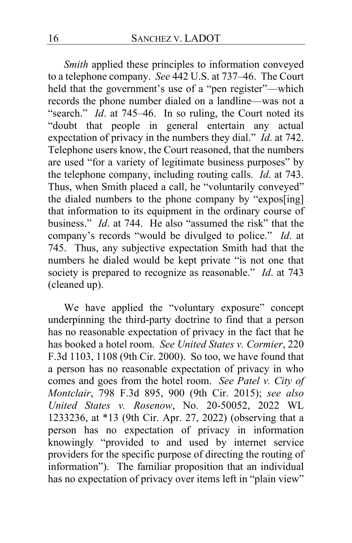*Smith* applied these principles to information conveyed to a telephone company. *See* 442 U.S. at 737–46. The Court held that the government's use of a "pen register"—which records the phone number dialed on a landline—was not a "search." *Id.* at 745–46. In so ruling, the Court noted its "doubt that people in general entertain any actual expectation of privacy in the numbers they dial." *Id*. at 742. Telephone users know, the Court reasoned, that the numbers are used "for a variety of legitimate business purposes" by the telephone company, including routing calls. *Id*. at 743. Thus, when Smith placed a call, he "voluntarily conveyed" the dialed numbers to the phone company by "expos[ing] that information to its equipment in the ordinary course of business." *Id*. at 744. He also "assumed the risk" that the company's records "would be divulged to police." *Id*. at 745. Thus, any subjective expectation Smith had that the numbers he dialed would be kept private "is not one that society is prepared to recognize as reasonable." *Id*. at 743 (cleaned up).

We have applied the "voluntary exposure" concept underpinning the third-party doctrine to find that a person has no reasonable expectation of privacy in the fact that he has booked a hotel room. *See United States v. Cormier*, 220 F.3d 1103, 1108 (9th Cir. 2000). So too, we have found that a person has no reasonable expectation of privacy in who comes and goes from the hotel room. *See Patel v. City of Montclair*, 798 F.3d 895, 900 (9th Cir. 2015); *see also United States v. Rosenow*, No. 20-50052, 2022 WL 1233236, at \*13 (9th Cir. Apr. 27, 2022) (observing that a person has no expectation of privacy in information knowingly "provided to and used by internet service providers for the specific purpose of directing the routing of information"). The familiar proposition that an individual has no expectation of privacy over items left in "plain view"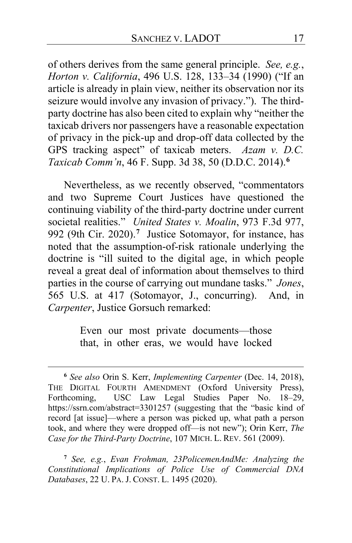of others derives from the same general principle. *See, e.g.*, *Horton v. California*, 496 U.S. 128, 133–34 (1990) ("If an article is already in plain view, neither its observation nor its seizure would involve any invasion of privacy."). The thirdparty doctrine has also been cited to explain why "neither the taxicab drivers nor passengers have a reasonable expectation of privacy in the pick-up and drop-off data collected by the GPS tracking aspect" of taxicab meters. *Azam v. D.C. Taxicab Comm'n*, 46 F. Supp. 3d 38, 50 (D.D.C. 2014).**[6](#page-16-0)**

Nevertheless, as we recently observed, "commentators and two Supreme Court Justices have questioned the continuing viability of the third-party doctrine under current societal realities." *United States v. Moalin*, 973 F.3d 977, 992 (9th Cir. 2020).**[7](#page-16-1)** Justice Sotomayor, for instance, has noted that the assumption-of-risk rationale underlying the doctrine is "ill suited to the digital age, in which people reveal a great deal of information about themselves to third parties in the course of carrying out mundane tasks." *Jones*, 565 U.S. at 417 (Sotomayor, J., concurring). And, in *Carpenter*, Justice Gorsuch remarked:

> Even our most private documents—those that, in other eras, we would have locked

<span id="page-16-0"></span>**<sup>6</sup>** *See also* Orin S. Kerr, *Implementing Carpenter* (Dec. 14, 2018), THE DIGITAL FOURTH AMENDMENT (Oxford University Press), Forthcoming, USC Law Legal Studies Paper No. 18–29, https://ssrn.com/abstract=3301257 (suggesting that the "basic kind of record [at issue]—where a person was picked up, what path a person took, and where they were dropped off—is not new"); Orin Kerr, *The Case for the Third-Party Doctrine*, 107 MICH. L. REV. 561 (2009).

<span id="page-16-1"></span>**<sup>7</sup>** *See, e.g.*, *Evan Frohman, 23PolicemenAndMe: Analyzing the Constitutional Implications of Police Use of Commercial DNA Databases*, 22 U. PA. J. CONST. L. 1495 (2020).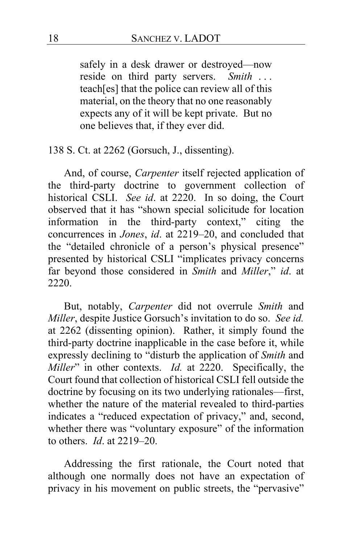safely in a desk drawer or destroyed—now reside on third party servers. *Smith* . . . teach[es] that the police can review all of this material, on the theory that no one reasonably expects any of it will be kept private. But no one believes that, if they ever did.

138 S. Ct. at 2262 (Gorsuch, J., dissenting).

And, of course, *Carpenter* itself rejected application of the third-party doctrine to government collection of historical CSLI. *See id*. at 2220. In so doing, the Court observed that it has "shown special solicitude for location information in the third-party context," citing the concurrences in *Jones*, *id*. at 2219–20, and concluded that the "detailed chronicle of a person's physical presence" presented by historical CSLI "implicates privacy concerns far beyond those considered in *Smith* and *Miller*," *id*. at 2220.

But, notably, *Carpenter* did not overrule *Smith* and *Miller*, despite Justice Gorsuch's invitation to do so. *See id.* at 2262 (dissenting opinion). Rather, it simply found the third-party doctrine inapplicable in the case before it, while expressly declining to "disturb the application of *Smith* and *Miller*" in other contexts. *Id.* at 2220. Specifically, the Court found that collection of historical CSLI fell outside the doctrine by focusing on its two underlying rationales—first, whether the nature of the material revealed to third-parties indicates a "reduced expectation of privacy," and, second, whether there was "voluntary exposure" of the information to others. *Id*. at 2219–20.

Addressing the first rationale, the Court noted that although one normally does not have an expectation of privacy in his movement on public streets, the "pervasive"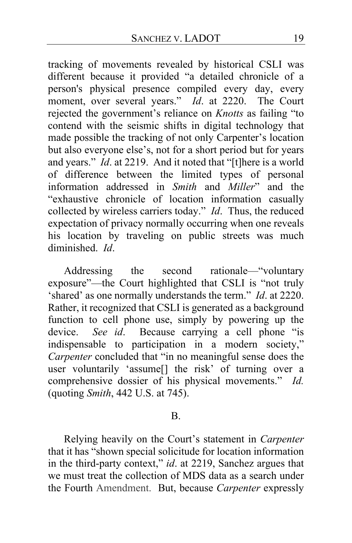tracking of movements revealed by historical CSLI was different because it provided "a detailed chronicle of a person's physical presence compiled every day, every moment, over several years." *Id*. at 2220. The Court rejected the government's reliance on *Knotts* as failing "to contend with the seismic shifts in digital technology that made possible the tracking of not only Carpenter's location but also everyone else's, not for a short period but for years and years." *Id*. at 2219. And it noted that "[t]here is a world of difference between the limited types of personal information addressed in *Smith* and *Miller*" and the "exhaustive chronicle of location information casually collected by wireless carriers today." *Id*. Thus, the reduced expectation of privacy normally occurring when one reveals his location by traveling on public streets was much diminished. *Id*.

Addressing the second rationale—"voluntary exposure"—the Court highlighted that CSLI is "not truly 'shared' as one normally understands the term." *Id*. at 2220. Rather, it recognized that CSLI is generated as a background function to cell phone use, simply by powering up the device. *See id*. Because carrying a cell phone "is indispensable to participation in a modern society," *Carpenter* concluded that "in no meaningful sense does the user voluntarily 'assume[] the risk' of turning over a comprehensive dossier of his physical movements." *Id.* (quoting *Smith*, 442 U.S. at 745).

#### B.

Relying heavily on the Court's statement in *Carpenter* that it has "shown special solicitude for location information in the third-party context," *id*. at 2219, Sanchez argues that we must treat the collection of MDS data as a search under the Fourth Amendment. But, because *Carpenter* expressly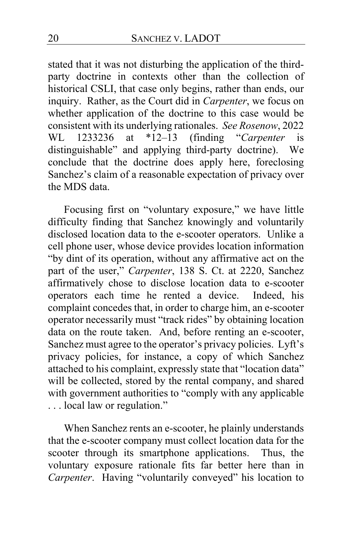stated that it was not disturbing the application of the thirdparty doctrine in contexts other than the collection of historical CSLI, that case only begins, rather than ends, our inquiry. Rather, as the Court did in *Carpenter*, we focus on whether application of the doctrine to this case would be consistent with its underlying rationales. *See Rosenow*, 2022 WL 1233236 at \*12–13 (finding "*Carpenter* is distinguishable" and applying third-party doctrine). We conclude that the doctrine does apply here, foreclosing Sanchez's claim of a reasonable expectation of privacy over the MDS data.

Focusing first on "voluntary exposure," we have little difficulty finding that Sanchez knowingly and voluntarily disclosed location data to the e-scooter operators. Unlike a cell phone user, whose device provides location information "by dint of its operation, without any affirmative act on the part of the user," *Carpenter*, 138 S. Ct. at 2220, Sanchez affirmatively chose to disclose location data to e-scooter operators each time he rented a device. Indeed, his complaint concedes that, in order to charge him, an e-scooter operator necessarily must "track rides" by obtaining location data on the route taken. And, before renting an e-scooter, Sanchez must agree to the operator's privacy policies. Lyft's privacy policies, for instance, a copy of which Sanchez attached to his complaint, expressly state that "location data" will be collected, stored by the rental company, and shared with government authorities to "comply with any applicable . . . local law or regulation."

When Sanchez rents an e-scooter, he plainly understands that the e-scooter company must collect location data for the scooter through its smartphone applications. Thus, the voluntary exposure rationale fits far better here than in *Carpenter*. Having "voluntarily conveyed" his location to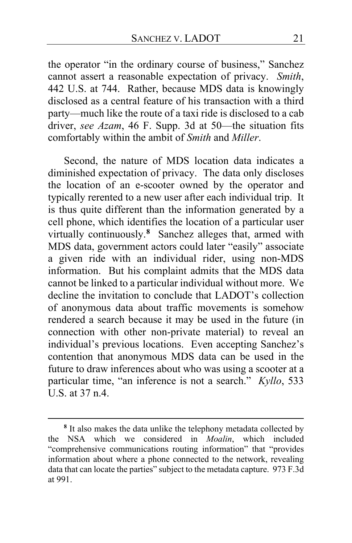the operator "in the ordinary course of business," Sanchez cannot assert a reasonable expectation of privacy. *Smith*, 442 U.S. at 744. Rather, because MDS data is knowingly disclosed as a central feature of his transaction with a third party—much like the route of a taxi ride is disclosed to a cab driver, *see Azam*, 46 F. Supp. 3d at 50—the situation fits comfortably within the ambit of *Smith* and *Miller*.

Second, the nature of MDS location data indicates a diminished expectation of privacy. The data only discloses the location of an e-scooter owned by the operator and typically rerented to a new user after each individual trip. It is thus quite different than the information generated by a cell phone, which identifies the location of a particular user virtually continuously.**[8](#page-20-0)** Sanchez alleges that, armed with MDS data, government actors could later "easily" associate a given ride with an individual rider, using non-MDS information. But his complaint admits that the MDS data cannot be linked to a particular individual without more. We decline the invitation to conclude that LADOT's collection of anonymous data about traffic movements is somehow rendered a search because it may be used in the future (in connection with other non-private material) to reveal an individual's previous locations. Even accepting Sanchez's contention that anonymous MDS data can be used in the future to draw inferences about who was using a scooter at a particular time, "an inference is not a search." *Kyllo*, 533 U.S. at 37 n.4.

<span id="page-20-0"></span>**<sup>8</sup>** It also makes the data unlike the telephony metadata collected by the NSA which we considered in *Moalin*, which included "comprehensive communications routing information" that "provides information about where a phone connected to the network, revealing data that can locate the parties" subject to the metadata capture. 973 F.3d at 991.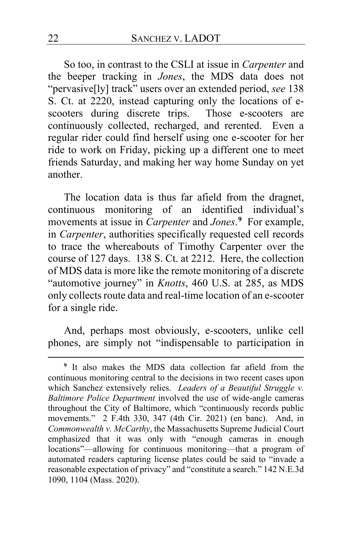So too, in contrast to the CSLI at issue in *Carpenter* and the beeper tracking in *Jones*, the MDS data does not "pervasive[ly] track" users over an extended period, *see* 138 S. Ct. at 2220, instead capturing only the locations of escooters during discrete trips. Those e-scooters are continuously collected, recharged, and rerented. Even a regular rider could find herself using one e-scooter for her ride to work on Friday, picking up a different one to meet friends Saturday, and making her way home Sunday on yet another.

The location data is thus far afield from the dragnet, continuous monitoring of an identified individual's movements at issue in *Carpenter* and *Jones*. **[9](#page-21-0)** For example, in *Carpenter*, authorities specifically requested cell records to trace the whereabouts of Timothy Carpenter over the course of 127 days. 138 S. Ct. at 2212. Here, the collection of MDS data is more like the remote monitoring of a discrete "automotive journey" in *Knotts*, 460 U.S. at 285, as MDS only collects route data and real-time location of an e-scooter for a single ride.

And, perhaps most obviously, e-scooters, unlike cell phones, are simply not "indispensable to participation in

<span id="page-21-0"></span>**<sup>9</sup>** It also makes the MDS data collection far afield from the continuous monitoring central to the decisions in two recent cases upon which Sanchez extensively relies. *Leaders of a Beautiful Struggle v. Baltimore Police Department* involved the use of wide-angle cameras throughout the City of Baltimore, which "continuously records public movements." 2 F.4th 330, 347 (4th Cir. 2021) (en banc). And, in *Commonwealth v. McCarthy*, the Massachusetts Supreme Judicial Court emphasized that it was only with "enough cameras in enough locations"—allowing for continuous monitoring—that a program of automated readers capturing license plates could be said to "invade a reasonable expectation of privacy" and "constitute a search." 142 N.E.3d 1090, 1104 (Mass. 2020).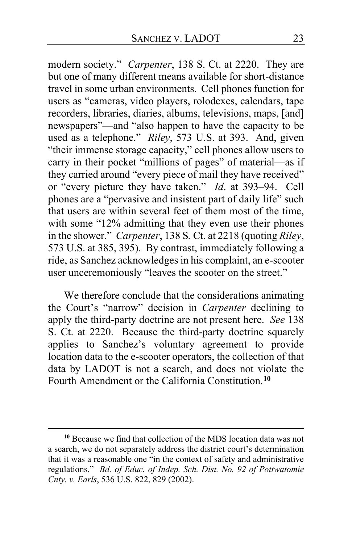modern society." *Carpenter*, 138 S. Ct. at 2220. They are but one of many different means available for short-distance travel in some urban environments. Cell phones function for users as "cameras, video players, rolodexes, calendars, tape recorders, libraries, diaries, albums, televisions, maps, [and] newspapers"—and "also happen to have the capacity to be used as a telephone." *Riley*, 573 U.S. at 393. And, given "their immense storage capacity," cell phones allow users to carry in their pocket "millions of pages" of material—as if they carried around "every piece of mail they have received" or "every picture they have taken." *Id*. at 393–94. Cell phones are a "pervasive and insistent part of daily life" such that users are within several feet of them most of the time, with some "12% admitting that they even use their phones in the shower." *Carpenter*, 138 S*.* Ct. at 2218 (quoting *Riley*, 573 U.S. at 385, 395). By contrast, immediately following a ride, as Sanchez acknowledges in his complaint, an e-scooter user unceremoniously "leaves the scooter on the street."

We therefore conclude that the considerations animating the Court's "narrow" decision in *Carpenter* declining to apply the third-party doctrine are not present here. *See* 138 S. Ct. at 2220. Because the third-party doctrine squarely applies to Sanchez's voluntary agreement to provide location data to the e-scooter operators, the collection of that data by LADOT is not a search, and does not violate the Fourth Amendment or the California Constitution.**[10](#page-22-0)**

<span id="page-22-0"></span>**<sup>10</sup>** Because we find that collection of the MDS location data was not a search, we do not separately address the district court's determination that it was a reasonable one "in the context of safety and administrative regulations." *Bd. of Educ. of Indep. Sch. Dist. No. 92 of Pottwatomie Cnty. v. Earls*, 536 U.S. 822, 829 (2002).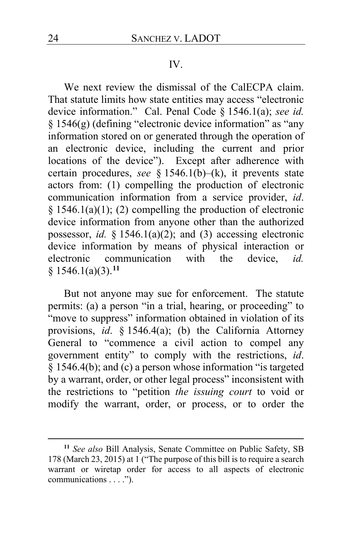#### IV.

We next review the dismissal of the CalECPA claim. That statute limits how state entities may access "electronic device information." Cal. Penal Code § 1546.1(a); *see id.*  § 1546(g) (defining "electronic device information" as "any information stored on or generated through the operation of an electronic device, including the current and prior locations of the device"). Except after adherence with certain procedures, *see* § 1546.1(b)–(k), it prevents state actors from: (1) compelling the production of electronic communication information from a service provider, *id*. § 1546.1(a)(1); (2) compelling the production of electronic device information from anyone other than the authorized possessor, *id.* § 1546.1(a)(2); and (3) accessing electronic device information by means of physical interaction or electronic communication with the device, *id.*  § 1546.1(a)(3).**[11](#page-23-0)**

But not anyone may sue for enforcement. The statute permits: (a) a person "in a trial, hearing, or proceeding" to "move to suppress" information obtained in violation of its provisions, *id*. § 1546.4(a); (b) the California Attorney General to "commence a civil action to compel any government entity" to comply with the restrictions, *id*.  $\S$  1546.4(b); and (c) a person whose information "is targeted by a warrant, order, or other legal process" inconsistent with the restrictions to "petition *the issuing court* to void or modify the warrant, order, or process, or to order the

<span id="page-23-0"></span>**<sup>11</sup>** *See also* Bill Analysis, Senate Committee on Public Safety, SB 178 (March 23, 2015) at 1 ("The purpose of this bill is to require a search warrant or wiretap order for access to all aspects of electronic communications . . . . ").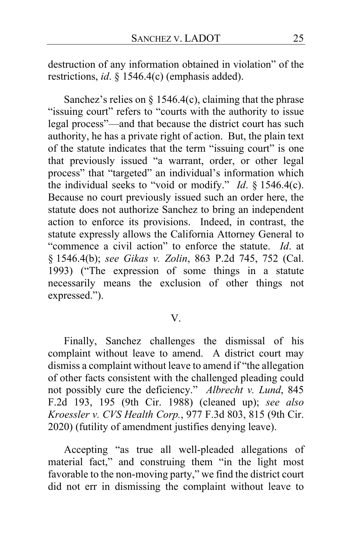destruction of any information obtained in violation" of the restrictions, *id*. § 1546.4(c) (emphasis added).

Sanchez's relies on  $\S$  1546.4(c), claiming that the phrase "issuing court" refers to "courts with the authority to issue legal process"—and that because the district court has such authority, he has a private right of action. But, the plain text of the statute indicates that the term "issuing court" is one that previously issued "a warrant, order, or other legal process" that "targeted" an individual's information which the individual seeks to "void or modify." *Id*. § 1546.4(c). Because no court previously issued such an order here, the statute does not authorize Sanchez to bring an independent action to enforce its provisions. Indeed, in contrast, the statute expressly allows the California Attorney General to "commence a civil action" to enforce the statute. *Id*. at § 1546.4(b); *see Gikas v. Zolin*, 863 P.2d 745, 752 (Cal. 1993) ("The expression of some things in a statute necessarily means the exclusion of other things not expressed.").

# V.

Finally, Sanchez challenges the dismissal of his complaint without leave to amend. A district court may dismiss a complaint without leave to amend if "the allegation of other facts consistent with the challenged pleading could not possibly cure the deficiency." *Albrecht v. Lund*, 845 F.2d 193, 195 (9th Cir. 1988) (cleaned up); *see also Kroessler v. CVS Health Corp.*, 977 F.3d 803, 815 (9th Cir. 2020) (futility of amendment justifies denying leave).

Accepting "as true all well-pleaded allegations of material fact," and construing them "in the light most favorable to the non-moving party," we find the district court did not err in dismissing the complaint without leave to